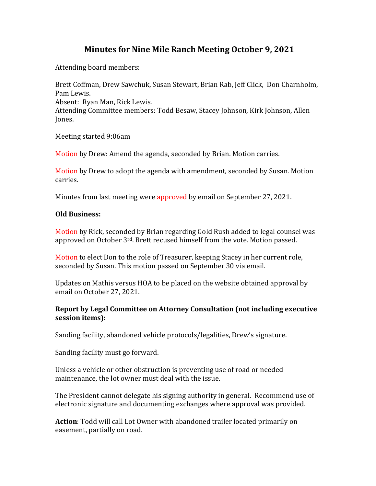# **Minutes for Nine Mile Ranch Meeting October 9, 2021**

Attending board members:

Brett Coffman, Drew Sawchuk, Susan Stewart, Brian Rab, Jeff Click, Don Charnholm, Pam Lewis. Absent: Ryan Man, Rick Lewis. Attending Committee members: Todd Besaw, Stacey Johnson, Kirk Johnson, Allen Jones.

Meeting started 9:06am

Motion by Drew: Amend the agenda, seconded by Brian. Motion carries.

Motion by Drew to adopt the agenda with amendment, seconded by Susan. Motion carries.

Minutes from last meeting were approved by email on September 27, 2021.

#### **Old Business:**

Motion by Rick, seconded by Brian regarding Gold Rush added to legal counsel was approved on October 3rd. Brett recused himself from the vote. Motion passed.

Motion to elect Don to the role of Treasurer, keeping Stacey in her current role, seconded by Susan. This motion passed on September 30 via email.

Updates on Mathis versus HOA to be placed on the website obtained approval by email on October 27, 2021.

## **Report by Legal Committee on Attorney Consultation (not including executive session items):**

Sanding facility, abandoned vehicle protocols/legalities, Drew's signature.

Sanding facility must go forward.

Unless a vehicle or other obstruction is preventing use of road or needed maintenance, the lot owner must deal with the issue.

The President cannot delegate his signing authority in general. Recommend use of electronic signature and documenting exchanges where approval was provided.

**Action**: Todd will call Lot Owner with abandoned trailer located primarily on easement, partially on road.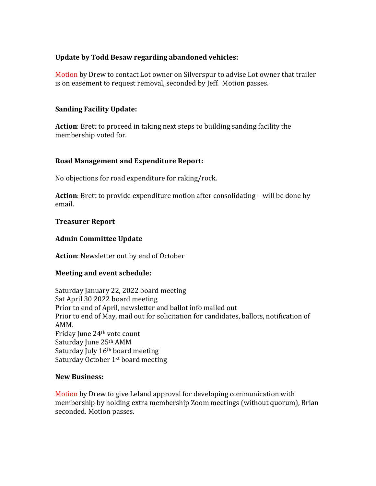## **Update by Todd Besaw regarding abandoned vehicles:**

Motion by Drew to contact Lot owner on Silverspur to advise Lot owner that trailer is on easement to request removal, seconded by Jeff. Motion passes.

## **Sanding Facility Update:**

**Action**: Brett to proceed in taking next steps to building sanding facility the membership voted for.

# **Road Management and Expenditure Report:**

No objections for road expenditure for raking/rock.

**Action**: Brett to provide expenditure motion after consolidating – will be done by email.

## **Treasurer Report**

## **Admin Committee Update**

**Action**: Newsletter out by end of October

## **Meeting and event schedule:**

Saturday January 22, 2022 board meeting Sat April 30 2022 board meeting Prior to end of April, newsletter and ballot info mailed out Prior to end of May, mail out for solicitation for candidates, ballots, notification of AMM. Friday June 24th vote count Saturday June 25th AMM Saturday July 16<sup>th</sup> board meeting Saturday October 1st board meeting

#### **New Business:**

Motion by Drew to give Leland approval for developing communication with membership by holding extra membership Zoom meetings (without quorum), Brian seconded. Motion passes.